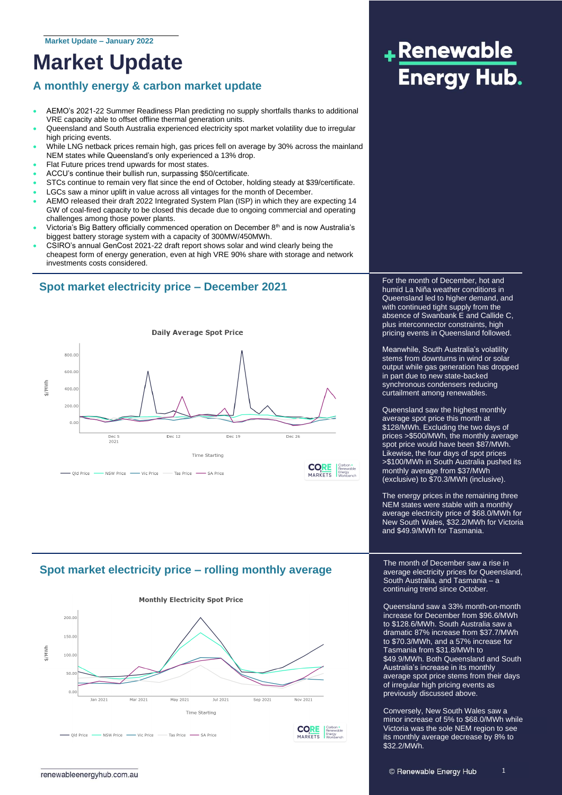### **Market Update**

### **A monthly energy & carbon market update**

- AEMO's 2021-22 Summer Readiness Plan predicting no supply shortfalls thanks to additional VRE capacity able to offset offline thermal generation units.
- Queensland and South Australia experienced electricity spot market volatility due to irregular high pricing events.
- While LNG netback prices remain high, gas prices fell on average by 30% across the mainland NEM states while Queensland's only experienced a 13% drop.
- Flat Future prices trend upwards for most states.
- ACCU's continue their bullish run, surpassing \$50/certificate.
- STCs continue to remain very flat since the end of October, holding steady at \$39/certificate.
- LGCs saw a minor uplift in value across all vintages for the month of December.
- AEMO released their draft 2022 Integrated System Plan (ISP) in which they are expecting 14 GW of coal-fired capacity to be closed this decade due to ongoing commercial and operating challenges among those power plants.
- Victoria's Big Battery officially commenced operation on December  $8<sup>th</sup>$  and is now Australia's biggest battery storage system with a capacity of 300MW/450MWh.
- CSIRO's annual GenCost 2021-22 draft report shows solar and wind clearly being the cheapest form of energy generation, even at high VRE 90% share with storage and network investments costs considered.

### **Spot market electricity price – December 2021**



### **Spot market electricity price – rolling monthly average**



## +Renewable **Energy Hub.**

For the month of December, hot and humid La Niña weather conditions in Queensland led to higher demand, and with continued tight supply from the absence of Swanbank E and Callide C, plus interconnector constraints, high pricing events in Queensland followed.

Meanwhile, South Australia's volatility stems from downturns in wind or solar output while gas generation has dropped in part due to new state-backed synchronous condensers reducing curtailment among renewables.

Queensland saw the highest monthly average spot price this month at \$128/MWh. Excluding the two days of prices >\$500/MWh, the monthly average spot price would have been \$87/MWh. Likewise, the four days of spot prices >\$100/MWh in South Australia pushed its monthly average from \$37/MWh (exclusive) to \$70.3/MWh (inclusive).

The energy prices in the remaining three NEM states were stable with a monthly average electricity price of \$68.0/MWh for New South Wales, \$32.2/MWh for Victoria and \$49.9/MWh for Tasmania.

The month of December saw a rise in average electricity prices for Queensland, South Australia, and Tasmania – a continuing trend since October.

Queensland saw a 33% month-on-month increase for December from \$96.6/MWh to \$128.6/MWh. South Australia saw a dramatic 87% increase from \$37.7/MWh to \$70.3/MWh, and a 57% increase for Tasmania from \$31.8/MWh to \$49.9/MWh. Both Queensland and South Australia's increase in its monthly average spot price stems from their days of irregular high pricing events as previously discussed above.

Conversely, New South Wales saw a minor increase of 5% to \$68.0/MWh while Victoria was the sole NEM region to see its monthly average decrease by 8% to \$32.2/MWh.

1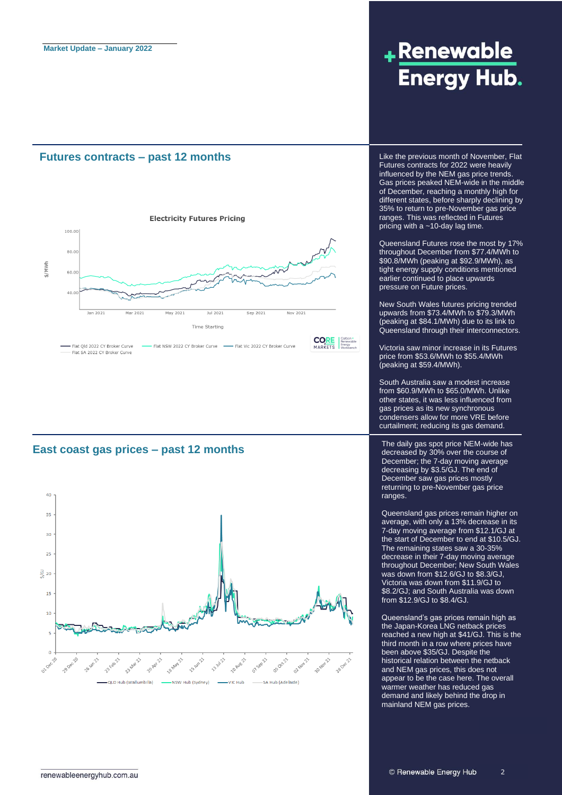#### **Futures contracts – past 12 months**



#### **East coast gas prices – past 12 months**



## +Renewable **Energy Hub.**

Like the previous month of November, Flat Futures contracts for 2022 were heavily influenced by the NEM gas price trends. Gas prices peaked NEM-wide in the middle of December, reaching a monthly high for different states, before sharply declining by 35% to return to pre-November gas price ranges. This was reflected in Futures pricing with a ~10-day lag time.

Queensland Futures rose the most by 17% throughout December from \$77.4/MWh to \$90.8/MWh (peaking at \$92.9/MWh), as tight energy supply conditions mentioned earlier continued to place upwards pressure on Future prices.

New South Wales futures pricing trended upwards from \$73.4/MWh to \$79.3/MWh (peaking at \$84.1/MWh) due to its link to Queensland through their interconnectors.

Victoria saw minor increase in its Futures price from \$53.6/MWh to \$55.4/MWh (peaking at \$59.4/MWh).

South Australia saw a modest increase from \$60.9/MWh to \$65.0/MWh. Unlike other states, it was less influenced from gas prices as its new synchronous condensers allow for more VRE before curtailment; reducing its gas demand.

The daily gas spot price NEM-wide has decreased by 30% over the course of December; the 7-day moving average decreasing by \$3.5/GJ. The end of December saw gas prices mostly returning to pre-November gas price ranges.

Queensland gas prices remain higher on average, with only a 13% decrease in its 7-day moving average from \$12.1/GJ at the start of December to end at \$10.5/GJ. The remaining states saw a 30-35% decrease in their 7-day moving average throughout December; New South Wales was down from \$12.6/GJ to \$8.3/GJ, Victoria was down from \$11.9/GJ to \$8.2/GJ; and South Australia was down from \$12.9/GJ to \$8.4/GJ.

Queensland's gas prices remain high as the Japan-Korea LNG netback prices reached a new high at \$41/GJ. This is the third month in a row where prices have been above \$35/GJ. Despite the historical relation between the netback and NEM gas prices, this does not appear to be the case here. The overall warmer weather has reduced gas demand and likely behind the drop in mainland NEM gas prices.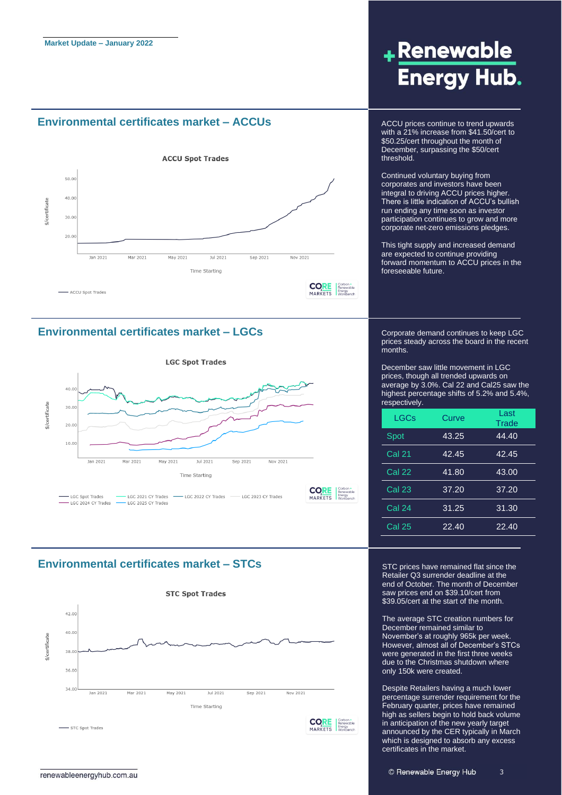#### **Environmental certificates market – ACCUs** ACCU prices continue to trend upwards



#### **Environmental certificates market – LGCs**



#### **Environmental certificates market – STCs**



## +Renewable **Energy Hub.**

with a 21% increase from \$41.50/cert to \$50.25/cert throughout the month of December, surpassing the \$50/cert threshold.

Continued voluntary buying from corporates and investors have been integral to driving ACCU prices higher. There is little indication of ACCU's bullish run ending any time soon as investor participation continues to grow and more corporate net-zero emissions pledges.

This tight supply and increased demand are expected to continue providing forward momentum to ACCU prices in the foreseeable future.

Corporate demand continues to keep LGC prices steady across the board in the recent months.

December saw little movement in LGC prices, though all trended upwards on average by 3.0%. Cal 22 and Cal25 saw the highest percentage shifts of 5.2% and 5.4%, respectively.

| LGCs          | Curve | Last<br>Trade |
|---------------|-------|---------------|
| Spot          | 43.25 | 44.40         |
| <b>Cal 21</b> | 42.45 | 42.45         |
| <b>Cal 22</b> | 41.80 | 43.00         |
| <b>Cal 23</b> | 37.20 | 37.20         |
| Cal 24        | 31.25 | 31.30         |
| <b>Cal 25</b> | 22.40 | 22.40         |

STC prices have remained flat since the Retailer Q3 surrender deadline at the end of October. The month of December saw prices end on \$39.10/cert from \$39.05/cert at the start of the month.

The average STC creation numbers for December remained similar to November's at roughly 965k per week. However, almost all of December's STCs were generated in the first three weeks due to the Christmas shutdown where only 150k were created.

Despite Retailers having a much lower percentage surrender requirement for the February quarter, prices have remained high as sellers begin to hold back volume in anticipation of the new yearly target announced by the CER typically in March which is designed to absorb any excess certificates in the market.

3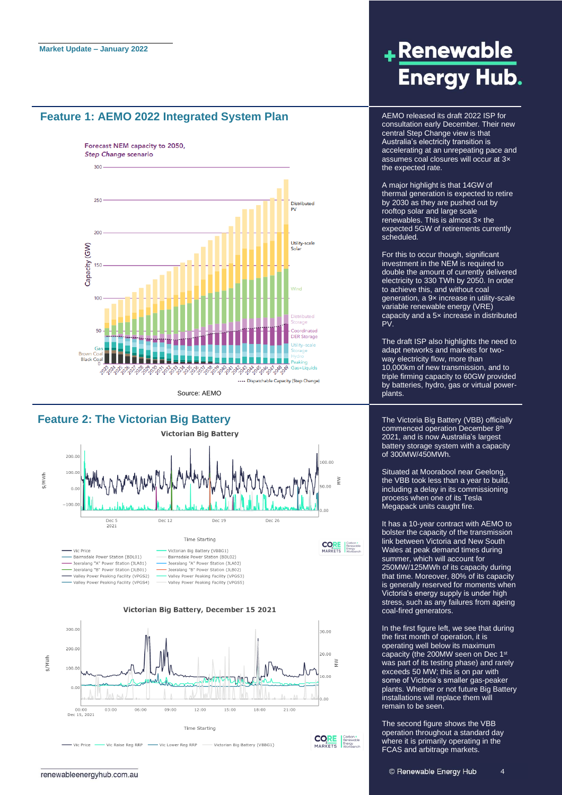#### **Feature 1: AEMO 2022 Integrated System Plan**



#### **Feature 2: The Victorian Big Battery**



#### Victorian Big Battery, December 15 2021



## +Renewable **Energy Hub.**

AEMO released its draft 2022 ISP for consultation early December. Their new central Step Change view is that Australia's electricity transition is accelerating at an unrepeating pace and assumes coal closures will occur at 3× the expected rate.

A major highlight is that 14GW of thermal generation is expected to retire by 2030 as they are pushed out by rooftop solar and large scale renewables. This is almost 3× the expected 5GW of retirements currently scheduled.

For this to occur though, significant investment in the NEM is required to double the amount of currently delivered electricity to 330 TWh by 2050. In order to achieve this, and without coal generation, a 9x increase in utility-scale variable renewable energy (VRE) capacity and a 5× increase in distributed PV.

The draft ISP also highlights the need to adapt networks and markets for twoway electricity flow, more than 10,000km of new transmission, and to triple firming capacity to 60GW provided by batteries, hydro, gas or virtual powerplants.

The Victoria Big Battery (VBB) officially commenced operation December 8<sup>th</sup> 2021, and is now Australia's largest battery storage system with a capacity of 300MW/450MWh.

Situated at Moorabool near Geelong, the VBB took less than a year to build, including a delay in its commissioning process when one of its Tesla .<br>Megapack units caught fire.

It has a 10-year contract with AEMO to bolster the capacity of the transmission link between Victoria and New South Wales at peak demand times during summer, which will account for 250MW/125MWh of its capacity during that time. Moreover, 80% of its capacity is generally reserved for moments when Victoria's energy supply is under high stress, such as any failures from ageing coal-fired generators.

In the first figure left, we see that during the first month of operation, it is operating well below its maximum capacity (the 200MW seen on Dec 1<sup>st</sup> was part of its testing phase) and rarely exceeds 50 MW; this is on par with some of Victoria's smaller gas-peaker plants. Whether or not future Big Battery installations will replace them will remain to be seen.

The second figure shows the VBB operation throughout a standard day where it is primarily operating in the FCAS and arbitrage markets.

4